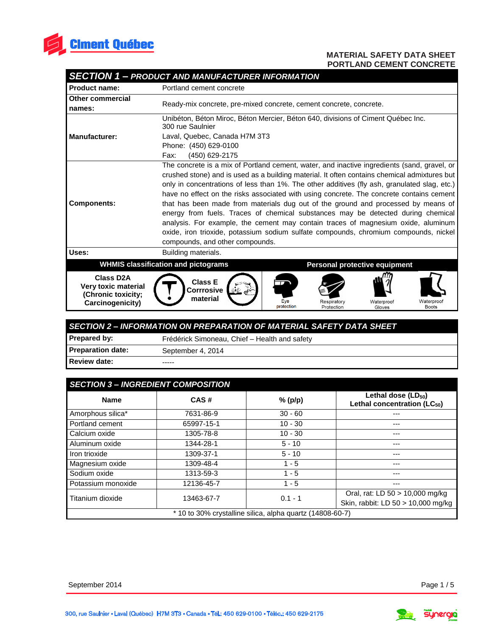

|  | <b>SECTION 1 - PRODUCT AND MANUFACTURER INFORMATION</b> |  |
|--|---------------------------------------------------------|--|
|  |                                                         |  |

| Product name:                                                                     | Portland cement concrete                                                                                                                                                                                                                                                                                                                                                                                                                                                                                                                                                                                                                                                                                                                                                         |  |  |
|-----------------------------------------------------------------------------------|----------------------------------------------------------------------------------------------------------------------------------------------------------------------------------------------------------------------------------------------------------------------------------------------------------------------------------------------------------------------------------------------------------------------------------------------------------------------------------------------------------------------------------------------------------------------------------------------------------------------------------------------------------------------------------------------------------------------------------------------------------------------------------|--|--|
| <b>Other commercial</b><br>names:                                                 | Ready-mix concrete, pre-mixed concrete, cement concrete, concrete.                                                                                                                                                                                                                                                                                                                                                                                                                                                                                                                                                                                                                                                                                                               |  |  |
|                                                                                   | Unibéton, Béton Miroc, Béton Mercier, Béton 640, divisions of Ciment Québec Inc.<br>300 rue Saulnier                                                                                                                                                                                                                                                                                                                                                                                                                                                                                                                                                                                                                                                                             |  |  |
| <b>Manufacturer:</b>                                                              | Laval, Quebec, Canada H7M 3T3                                                                                                                                                                                                                                                                                                                                                                                                                                                                                                                                                                                                                                                                                                                                                    |  |  |
|                                                                                   | Phone: (450) 629-0100                                                                                                                                                                                                                                                                                                                                                                                                                                                                                                                                                                                                                                                                                                                                                            |  |  |
|                                                                                   | (450) 629-2175<br>Fax:                                                                                                                                                                                                                                                                                                                                                                                                                                                                                                                                                                                                                                                                                                                                                           |  |  |
| <b>Components:</b>                                                                | The concrete is a mix of Portland cement, water, and inactive ingredients (sand, gravel, or<br>crushed stone) and is used as a building material. It often contains chemical admixtures but<br>only in concentrations of less than 1%. The other additives (fly ash, granulated slag, etc.)<br>have no effect on the risks associated with using concrete. The concrete contains cement<br>that has been made from materials dug out of the ground and processed by means of<br>energy from fuels. Traces of chemical substances may be detected during chemical<br>analysis. For example, the cement may contain traces of magnesium oxide, aluminum<br>oxide, iron trioxide, potassium sodium sulfate compounds, chromium compounds, nickel<br>compounds, and other compounds. |  |  |
| Uses:                                                                             | Building materials.                                                                                                                                                                                                                                                                                                                                                                                                                                                                                                                                                                                                                                                                                                                                                              |  |  |
|                                                                                   | <b>WHMIS classification and pictograms</b><br>Personal protective equipment                                                                                                                                                                                                                                                                                                                                                                                                                                                                                                                                                                                                                                                                                                      |  |  |
| <b>Class D2A</b><br>Very toxic material<br>(Chronic toxicity;<br>Carcinogenicity) | <b>Class E</b><br>Corrrosive<br>material<br>Eye<br>Waterproof<br>Waterproof<br>Respiratory<br>protection<br>Boots<br>Protection<br>Gloves                                                                                                                                                                                                                                                                                                                                                                                                                                                                                                                                                                                                                                        |  |  |

| SECTION 2 - INFORMATION ON PREPARATION OF MATERIAL SAFETY DATA SHEET |                                               |  |
|----------------------------------------------------------------------|-----------------------------------------------|--|
| <b>Prepared by:</b>                                                  | Frédérick Simoneau, Chief - Health and safety |  |
| <b>Preparation date:</b>                                             | September 4, 2014                             |  |
| Review date:                                                         | -----                                         |  |

| <b>SECTION 3- INGREDIENT COMPOSITION</b>                  |            |           |                                                                     |
|-----------------------------------------------------------|------------|-----------|---------------------------------------------------------------------|
| <b>Name</b>                                               | CAS#       | % (p/p)   | Lethal dose $(LD_{50})$<br>Lethal concentration (LC <sub>50</sub> ) |
| Amorphous silica*                                         | 7631-86-9  | $30 - 60$ |                                                                     |
| Portland cement                                           | 65997-15-1 | $10 - 30$ |                                                                     |
| Calcium oxide                                             | 1305-78-8  | $10 - 30$ |                                                                     |
| Aluminum oxide                                            | 1344-28-1  | $5 - 10$  | ---                                                                 |
| Iron trioxide                                             | 1309-37-1  | $5 - 10$  |                                                                     |
| Magnesium oxide                                           | 1309-48-4  | $1 - 5$   |                                                                     |
| Sodium oxide                                              | 1313-59-3  | $1 - 5$   | ---                                                                 |
| Potassium monoxide                                        | 12136-45-7 | $1 - 5$   | ---                                                                 |
| Titanium dioxide                                          | 13463-67-7 | $0.1 - 1$ | Oral, rat: LD 50 > 10,000 mg/kg                                     |
|                                                           |            |           | Skin, rabbit: LD 50 > 10,000 mg/kg                                  |
| * 10 to 30% crystalline silica, alpha quartz (14808-60-7) |            |           |                                                                     |

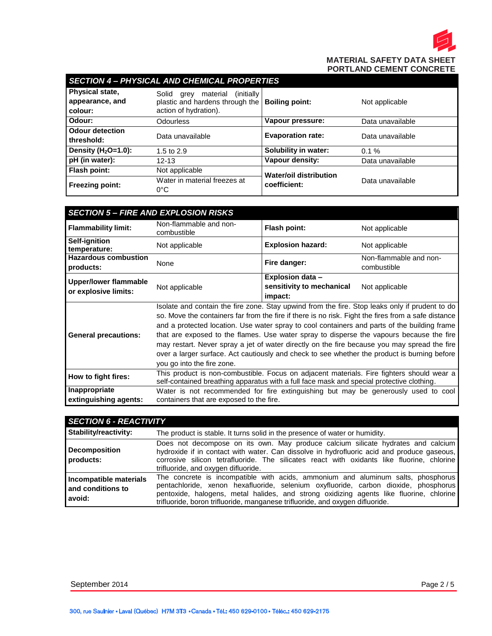

| <b>SECTION 4 - PHYSICAL AND CHEMICAL PROPERTIES</b> |                                                                                                      |                                               |                  |
|-----------------------------------------------------|------------------------------------------------------------------------------------------------------|-----------------------------------------------|------------------|
| Physical state,<br>appearance, and<br>colour:       | (initially)<br>material<br>Solid<br>arev<br>plastic and hardens through the<br>action of hydration). | <b>Boiling point:</b>                         | Not applicable   |
| Odour:                                              | Odourless                                                                                            | Vapour pressure:                              | Data unavailable |
| <b>Odour detection</b><br>threshold:                | Data unavailable                                                                                     | <b>Evaporation rate:</b>                      | Data unavailable |
| Density $(H2O=1.0)$ :                               | 1.5 to $2.9$                                                                                         | Solubility in water:                          | $0.1 \%$         |
| pH (in water):                                      | $12 - 13$                                                                                            | Vapour density:                               | Data unavailable |
| Flash point:                                        | Not applicable                                                                                       | <b>Water/oil distribution</b><br>coefficient: | Data unavailable |
| <b>Freezing point:</b>                              | Water in material freezes at<br>$0^{\circ}$ C                                                        |                                               |                  |

| <b>SECTION 5 - FIRE AND EXPLOSION RISKS</b>   |                                                                                                                                                                                                                                                                                                                                                                                                                                                                                                                                                                                                                                 |                                                                 |                                       |
|-----------------------------------------------|---------------------------------------------------------------------------------------------------------------------------------------------------------------------------------------------------------------------------------------------------------------------------------------------------------------------------------------------------------------------------------------------------------------------------------------------------------------------------------------------------------------------------------------------------------------------------------------------------------------------------------|-----------------------------------------------------------------|---------------------------------------|
| <b>Flammability limit:</b>                    | Non-flammable and non-<br>combustible                                                                                                                                                                                                                                                                                                                                                                                                                                                                                                                                                                                           | <b>Flash point:</b>                                             | Not applicable                        |
| Self-ignition<br>temperature:                 | Not applicable                                                                                                                                                                                                                                                                                                                                                                                                                                                                                                                                                                                                                  | <b>Explosion hazard:</b>                                        | Not applicable                        |
| <b>Hazardous combustion</b><br>products:      | None                                                                                                                                                                                                                                                                                                                                                                                                                                                                                                                                                                                                                            | Fire danger:                                                    | Non-flammable and non-<br>combustible |
| Upper/lower flammable<br>or explosive limits: | Not applicable                                                                                                                                                                                                                                                                                                                                                                                                                                                                                                                                                                                                                  | <b>Explosion data -</b><br>sensitivity to mechanical<br>impact: | Not applicable                        |
| <b>General precautions:</b>                   | Isolate and contain the fire zone. Stay upwind from the fire. Stop leaks only if prudent to do<br>so. Move the containers far from the fire if there is no risk. Fight the fires from a safe distance<br>and a protected location. Use water spray to cool containers and parts of the building frame<br>that are exposed to the flames. Use water spray to disperse the vapours because the fire<br>may restart. Never spray a jet of water directly on the fire because you may spread the fire<br>over a larger surface. Act cautiously and check to see whether the product is burning before<br>you go into the fire zone. |                                                                 |                                       |
| How to fight fires:                           | This product is non-combustible. Focus on adjacent materials. Fire fighters should wear a<br>self-contained breathing apparatus with a full face mask and special protective clothing.                                                                                                                                                                                                                                                                                                                                                                                                                                          |                                                                 |                                       |
| Inappropriate<br>extinguishing agents:        | Water is not recommended for fire extinguishing but may be generously used to cool<br>containers that are exposed to the fire.                                                                                                                                                                                                                                                                                                                                                                                                                                                                                                  |                                                                 |                                       |

| <b>SECTION 6 - REACTIVITY</b>                           |                                                                                                                                                                                                                                                                                                                                                     |
|---------------------------------------------------------|-----------------------------------------------------------------------------------------------------------------------------------------------------------------------------------------------------------------------------------------------------------------------------------------------------------------------------------------------------|
| Stability/reactivity:                                   | The product is stable. It turns solid in the presence of water or humidity.                                                                                                                                                                                                                                                                         |
| <b>Decomposition</b><br><b>I</b> products:              | Does not decompose on its own. May produce calcium silicate hydrates and calcium<br>hydroxide if in contact with water. Can dissolve in hydrofluoric acid and produce gaseous,<br>corrosive silicon tetrafluoride. The silicates react with oxidants like fluorine, chlorine<br>trifluoride, and oxygen difluoride.                                 |
| Incompatible materials<br>and conditions to<br>l avoid: | The concrete is incompatible with acids, ammonium and aluminum salts, phosphorus<br>pentachloride, xenon hexafluoride, selenium oxyfluoride, carbon dioxide, phosphorus<br>pentoxide, halogens, metal halides, and strong oxidizing agents like fluorine, chlorine<br>trifluoride, boron trifluoride, manganese trifluoride, and oxygen difluoride. |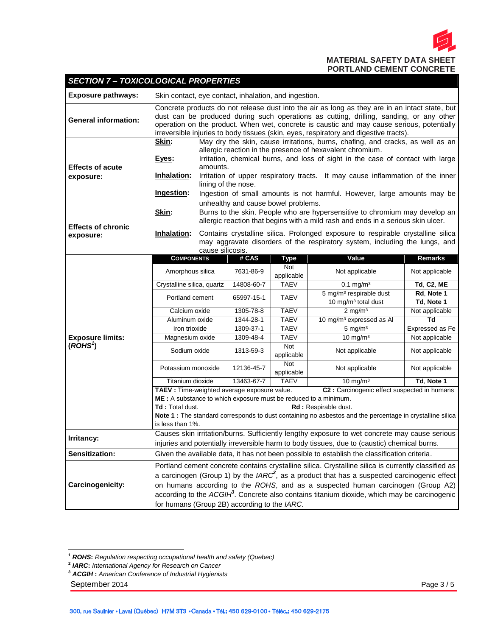

#### **Exposure pathways:** Skin contact, eye contact, inhalation, and ingestion. **General information:** Concrete products do not release dust into the air as long as they are in an intact state, but dust can be produced during such operations as cutting, drilling, sanding, or any other operation on the product. When wet, concrete is caustic and may cause serious, potentially irreversible injuries to body tissues (skin, eyes, respiratory and digestive tracts). **Effects of acute exposure: Skin:** May dry the skin, cause irritations, burns, chafing, and cracks, as well as an allergic reaction in the presence of hexavalent chromium. **Eyes:** Irritation, chemical burns, and loss of sight in the case of contact with large amounts. **Inhalation:** Irritation of upper respiratory tracts. It may cause inflammation of the inner lining of the nose. **Ingestion:** Ingestion of small amounts is not harmful. However, large amounts may be unhealthy and cause bowel problems. **Effects of chronic exposure: Skin:** Burns to the skin. People who are hypersensitive to chromium may develop an allergic reaction that begins with a mild rash and ends in a serious skin ulcer. **Inhalation:** Contains crystalline silica. Prolonged exposure to respirable crystalline silica may aggravate disorders of the respiratory system, including the lungs, and cause silicosis. **Exposure limits: COMPONENTS # CAS Type Value Remarks** Amorphous silica | 7631-86-9 Not applicable Not applicable Not applicable Crystalline silica, quartz 14808-60-7 TAEV 0.1 mg/m³ **Td**, **C2**, **ME** Portland cement 65997-15-1 TAEV 5 mg/m<sup>3</sup> respirable dust 10 mg/m³ total dust **Rd**, **Note 1 Td**, **Note 1** Calcium oxide 1305-78-8 TAEV 2 mg/m<sup>3</sup> Not applicable Aluminum oxide 1344-28-1 TAEV 10 mg/m³ expressed as Al **Td** Iron trioxide 1309-37-1 TAEV 5 mg/m³ Expressed as Fe Magnesium oxide 1309-48-4 TAEV 10 mg/m<sup>3</sup> Not applicable Sodium oxide 1313-59-3 Not applicable Not applicable Not applicable Potassium monoxide 12136-45-7 Not applicable Not applicable Not applicable Titanium dioxide 13463-67-7 TAEV 10 mg/m³ **Td**, **Note 1 TAEV :** Time-weighted average exposure value. **C2 :** Carcinogenic effect suspected in humans **ME :** A substance to which exposure must be reduced to a minimum. Td : Total dust. **Rd :** Respirable dust. **Note 1 :** The standard corresponds to dust containing no asbestos and the percentage in crystalline silica is less than 1%. **Irritancy:** Causes skin irritation/burns. Sufficiently lengthy exposure to wet concrete may cause serious injuries and potentially irreversible harm to body tissues, due to (caustic) chemical burns. **Sensitization:** Given the available data, it has not been possible to establish the classification criteria.

**Carcinogenicity:** Portland cement concrete contains crystalline silica. Crystalline silica is currently classified as a carcinogen (Group 1) by the *IARC<sup>2</sup>* , as a product that has a suspected carcinogenic effect on humans according to the *ROHS*, and as a suspected human carcinogen (Group A2) according to the *ACGIH<sup>3</sup>* . Concrete also contains titanium dioxide, which may be carcinogenic for humans (Group 2B) according to the *IARC*.

*SECTION 7 – TOXICOLOGICAL PROPERTIES*

September 2014 **Page 3 / 5** and 2014

**(***ROHS<sup>1</sup>* **)**

 $\overline{a}$ **<sup>1</sup>** *ROHS***:** *Regulation respecting occupational health and safety (Quebec)*

**<sup>2</sup>** *IARC***:** *International Agency for Research on Cancer*

**<sup>3</sup>** *ACGIH* **:** *American Conference of Industrial Hygienists*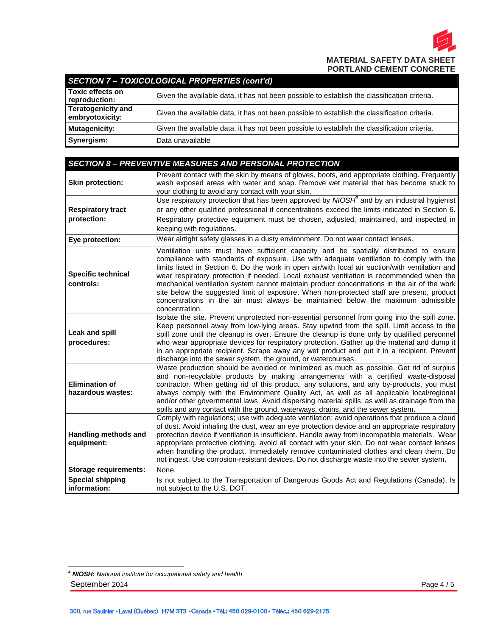

# *SECTION 7 – TOXICOLOGICAL PROPERTIES (cont'd)*

| <b>Toxic effects on</b><br>reproduction:     | Given the available data, it has not been possible to establish the classification criteria. |
|----------------------------------------------|----------------------------------------------------------------------------------------------|
| <b>Teratogenicity and</b><br>embryotoxicity: | Given the available data, it has not been possible to establish the classification criteria. |
| Mutagenicity:                                | Given the available data, it has not been possible to establish the classification criteria. |
| Synergism:                                   | Data unavailable                                                                             |

|                                            | <b>SECTION 8- PREVENTIVE MEASURES AND PERSONAL PROTECTION</b>                                                                                                                                                                                                                                                                                                                                                                                                                                                                                                                                                                                                                      |
|--------------------------------------------|------------------------------------------------------------------------------------------------------------------------------------------------------------------------------------------------------------------------------------------------------------------------------------------------------------------------------------------------------------------------------------------------------------------------------------------------------------------------------------------------------------------------------------------------------------------------------------------------------------------------------------------------------------------------------------|
| <b>Skin protection:</b>                    | Prevent contact with the skin by means of gloves, boots, and appropriate clothing. Frequently<br>wash exposed areas with water and soap. Remove wet material that has become stuck to<br>your clothing to avoid any contact with your skin.                                                                                                                                                                                                                                                                                                                                                                                                                                        |
| <b>Respiratory tract</b><br>protection:    | Use respiratory protection that has been approved by $N/OSH4$ and by an industrial hygienist<br>or any other qualified professional if concentrations exceed the limits indicated in Section 6.<br>Respiratory protective equipment must be chosen, adjusted, maintained, and inspected in<br>keeping with regulations.                                                                                                                                                                                                                                                                                                                                                            |
| Eye protection:                            | Wear airtight safety glasses in a dusty environment. Do not wear contact lenses.                                                                                                                                                                                                                                                                                                                                                                                                                                                                                                                                                                                                   |
| <b>Specific technical</b><br>controls:     | Ventilation units must have sufficient capacity and be spatially distributed to ensure<br>compliance with standards of exposure. Use with adequate ventilation to comply with the<br>limits listed in Section 6. Do the work in open air/with local air suction/with ventilation and<br>wear respiratory protection if needed. Local exhaust ventilation is recommended when the<br>mechanical ventilation system cannot maintain product concentrations in the air of the work<br>site below the suggested limit of exposure. When non-protected staff are present, product<br>concentrations in the air must always be maintained below the maximum admissible<br>concentration. |
| <b>Leak and spill</b><br>procedures:       | Isolate the site. Prevent unprotected non-essential personnel from going into the spill zone.<br>Keep personnel away from low-lying areas. Stay upwind from the spill. Limit access to the<br>spill zone until the cleanup is over. Ensure the cleanup is done only by qualified personnel<br>who wear appropriate devices for respiratory protection. Gather up the material and dump it<br>in an appropriate recipient. Scrape away any wet product and put it in a recipient. Prevent<br>discharge into the sewer system, the ground, or watercourses.                                                                                                                          |
| <b>Elimination of</b><br>hazardous wastes: | Waste production should be avoided or minimized as much as possible. Get rid of surplus<br>and non-recyclable products by making arrangements with a certified waste-disposal<br>contractor. When getting rid of this product, any solutions, and any by-products, you must<br>always comply with the Environment Quality Act, as well as all applicable local/regional<br>and/or other governmental laws. Avoid dispersing material spills, as well as drainage from the<br>spills and any contact with the ground, waterways, drains, and the sewer system.                                                                                                                      |
| <b>Handling methods and</b><br>equipment:  | Comply with regulations; use with adequate ventilation; avoid operations that produce a cloud<br>of dust. Avoid inhaling the dust, wear an eye protection device and an appropriate respiratory<br>protection device if ventilation is insufficient. Handle away from incompatible materials. Wear<br>appropriate protective clothing, avoid all contact with your skin. Do not wear contact lenses<br>when handling the product. Immediately remove contaminated clothes and clean them. Do<br>not ingest. Use corrosion-resistant devices. Do not discharge waste into the sewer system.                                                                                         |
| <b>Storage requirements:</b>               | None.                                                                                                                                                                                                                                                                                                                                                                                                                                                                                                                                                                                                                                                                              |
| <b>Special shipping</b><br>information:    | Is not subject to the Transportation of Dangerous Goods Act and Regulations (Canada). Is<br>not subject to the U.S. DOT.                                                                                                                                                                                                                                                                                                                                                                                                                                                                                                                                                           |

September 2014 Page 4 / 5  $\ddot{\phantom{a}}$ *<sup>4</sup> NIOSH***:** *[National institute for occupational safety and health](http://www.cdc.gov/niosh/)*